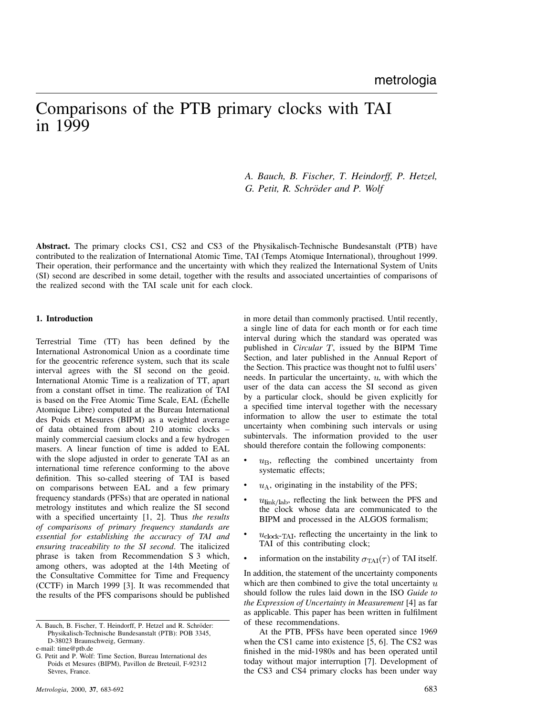# Comparisons of the PTB primary clocks with TAI in 1999

# *A. Bauch, B. Fischer, T. Heindorff, P. Hetzel, G. Petit, R. Schröder and P. Wolf*

**Abstract.** The primary clocks CS1, CS2 and CS3 of the Physikalisch-Technische Bundesanstalt (PTB) have contributed to the realization of International Atomic Time, TAI (Temps Atomique International), throughout 1999. Their operation, their performance and the uncertainty with which they realized the International System of Units (SI) second are described in some detail, together with the results and associated uncertainties of comparisons of the realized second with the TAI scale unit for each clock.

#### **1. Introduction**

Terrestrial Time (TT) has been defined by the International Astronomical Union as a coordinate time for the geocentric reference system, such that its scale interval agrees with the SI second on the geoid. International Atomic Time is a realization of TT, apart from a constant offset in time. The realization of TAI is based on the Free Atomic Time Scale, EAL (Échelle Atomique Libre) computed at the Bureau International des Poids et Mesures (BIPM) as a weighted average of data obtained from about 210 atomic clocks – mainly commercial caesium clocks and a few hydrogen masers. A linear function of time is added to EAL with the slope adjusted in order to generate TAI as an international time reference conforming to the above definition. This so-called steering of TAI is based on comparisons between EAL and a few primary frequency standards (PFSs) that are operated in national metrology institutes and which realize the SI second with a specified uncertainty [1, 2]. Thus *the results of comparisons of primary frequency standards are essential for establishing the accuracy of TAI and ensuring traceability to the SI second*. The italicized phrase is taken from Recommendation S 3 which, among others, was adopted at the 14th Meeting of the Consultative Committee for Time and Frequency (CCTF) in March 1999 [3]. It was recommended that the results of the PFS comparisons should be published

in more detail than commonly practised. Until recently, a single line of data for each month or for each time interval during which the standard was operated was published in *Circular T*, issued by the BIPM Time Section, and later published in the Annual Report of the Section. This practice was thought not to fulfil users' needs. In particular the uncertainty,  $u$ , with which the user of the data can access the SI second as given by a particular clock, should be given explicitly for a specified time interval together with the necessary information to allow the user to estimate the total uncertainty when combining such intervals or using subintervals. The information provided to the user should therefore contain the following components:

- $u_{\text{B}}$ , reflecting the combined uncertainty from systematic effects;
- $u<sub>A</sub>$ , originating in the instability of the PFS;
- $u_{\text{link/lab}}$ , reflecting the link between the PFS and the clock whose data are communicated to the BIPM and processed in the ALGOS formalism;
- $u_{\text{clock-TAI}}$ , reflecting the uncertainty in the link to TAI of this contributing clock;
- information on the instability  $\sigma_{\text{TAI}}(\tau)$  of TAI itself.

In addition, the statement of the uncertainty components which are then combined to give the total uncertainty  $u$ should follow the rules laid down in the ISO *Guide to the Expression of Uncertainty in Measurement* [4] as far as applicable. This paper has been written in fulfilment of these recommendations.

At the PTB, PFSs have been operated since 1969 when the CS1 came into existence [5, 6]. The CS2 was finished in the mid-1980s and has been operated until today without major interruption [7]. Development of the CS3 and CS4 primary clocks has been under way

A. Bauch, B. Fischer, T. Heindorff, P. Hetzel and R. Schröder: Physikalisch-Technische Bundesanstalt (PTB): POB 3345, D-38023 Braunschweig, Germany.

e-mail: time@ptb.de

G. Petit and P. Wolf: Time Section, Bureau International des Poids et Mesures (BIPM), Pavillon de Breteuil, F-92312 Sèvres, France.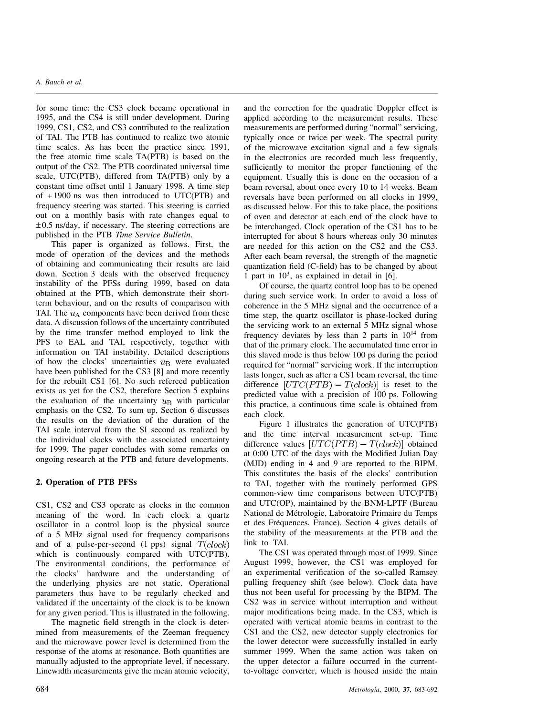#### *A. Bauch et al.*

for some time: the CS3 clock became operational in 1995, and the CS4 is still under development. During 1999, CS1, CS2, and CS3 contributed to the realization of TAI. The PTB has continued to realize two atomic time scales. As has been the practice since 1991, the free atomic time scale TA(PTB) is based on the output of the CS2. The PTB coordinated universal time scale, UTC(PTB), differed from TA(PTB) only by a constant time offset until 1 January 1998. A time step of + 1900 ns was then introduced to UTC(PTB) and frequency steering was started. This steering is carried out on a monthly basis with rate changes equal to  $\pm 0.5$  ns/day, if necessary. The steering corrections are published in the PTB *Time Service Bulletin*.

This paper is organized as follows. First, the mode of operation of the devices and the methods of obtaining and communicating their results are laid down. Section 3 deals with the observed frequency instability of the PFSs during 1999, based on data obtained at the PTB, which demonstrate their shortterm behaviour, and on the results of comparison with TAI. The  $u_A$  components have been derived from these data. A discussion follows of the uncertainty contributed by the time transfer method employed to link the PFS to EAL and TAI, respectively, together with information on TAI instability. Detailed descriptions of how the clocks' uncertainties  $u<sub>B</sub>$  were evaluated have been published for the CS3 [8] and more recently for the rebuilt CS1 [6]. No such refereed publication exists as yet for the CS2, therefore Section 5 explains the evaluation of the uncertainty  $u_{\rm B}$  with particular emphasis on the CS2. To sum up, Section 6 discusses the results on the deviation of the duration of the TAI scale interval from the SI second as realized by the individual clocks with the associated uncertainty for 1999. The paper concludes with some remarks on ongoing research at the PTB and future developments.

#### **2. Operation of PTB PFSs**

CS1, CS2 and CS3 operate as clocks in the common meaning of the word. In each clock a quartz oscillator in a control loop is the physical source of a 5 MHz signal used for frequency comparisons and of a pulse-per-second  $(1 \text{ pps})$  signal  $T(clock)$ which is continuously compared with UTC(PTB). The environmental conditions, the performance of the clocks' hardware and the understanding of the underlying physics are not static. Operational parameters thus have to be regularly checked and validated if the uncertainty of the clock is to be known for any given period. This is illustrated in the following.

The magnetic field strength in the clock is determined from measurements of the Zeeman frequency and the microwave power level is determined from the response of the atoms at resonance. Both quantities are manually adjusted to the appropriate level, if necessary. Linewidth measurements give the mean atomic velocity,

and the correction for the quadratic Doppler effect is applied according to the measurement results. These measurements are performed during "normal" servicing, typically once or twice per week. The spectral purity of the microwave excitation signal and a few signals in the electronics are recorded much less frequently, sufficiently to monitor the proper functioning of the equipment. Usually this is done on the occasion of a beam reversal, about once every 10 to 14 weeks. Beam reversals have been performed on all clocks in 1999, as discussed below. For this to take place, the positions of oven and detector at each end of the clock have to be interchanged. Clock operation of the CS1 has to be interrupted for about 8 hours whereas only 30 minutes are needed for this action on the CS2 and the CS3. After each beam reversal, the strength of the magnetic quantization field (C-field) has to be changed by about 1 part in  $10^3$ , as explained in detail in [6].

Of course, the quartz control loop has to be opened during such service work. In order to avoid a loss of coherence in the 5 MHz signal and the occurrence of a time step, the quartz oscillator is phase-locked during the servicing work to an external 5 MHz signal whose frequency deviates by less than 2 parts in  $10^{14}$  from that of the primary clock. The accumulated time error in this slaved mode is thus below 100 ps during the period required for "normal" servicing work. If the interruption lasts longer, such as after a CS1 beam reversal, the time difference  $[UTC(PTB) - T(dock)]$  is reset to the predicted value with a precision of 100 ps. Following this practice, a continuous time scale is obtained from each clock.

Figure 1 illustrates the generation of UTC(PTB) and the time interval measurement set-up. Time difference values  $[UTC(PTB) - T(clock)]$  obtained at 0:00 UTC of the days with the Modified Julian Day (MJD) ending in 4 and 9 are reported to the BIPM. This constitutes the basis of the clocks' contribution to TAI, together with the routinely performed GPS common-view time comparisons between UTC(PTB) and UTC(OP), maintained by the BNM-LPTF (Bureau National de Metrologie, Laboratoire Primaire du Temps ´ et des Frequences, France). Section 4 gives details of ´ the stability of the measurements at the PTB and the link to TAI.

The CS1 was operated through most of 1999. Since August 1999, however, the CS1 was employed for an experimental verification of the so-called Ramsey pulling frequency shift (see below). Clock data have thus not been useful for processing by the BIPM. The CS2 was in service without interruption and without major modifications being made. In the CS3, which is operated with vertical atomic beams in contrast to the CS1 and the CS2, new detector supply electronics for the lower detector were successfully installed in early summer 1999. When the same action was taken on the upper detector a failure occurred in the currentto-voltage converter, which is housed inside the main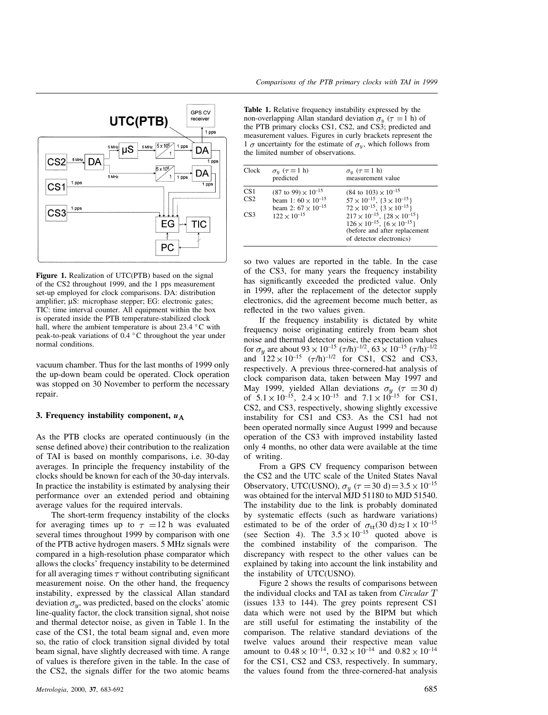

Figure 1. Realization of UTC(PTB) based on the signal of the CS2 throughout 1999, and the 1 pps measurement set-up employed for clock comparisons. DA: distribution amplifier;  $\mu S$ : microphase stepper; EG: electronic gates; TIC: time interval counter. All equipment within the box is operated inside the PTB temperature-stabilized clock hall, where the ambient temperature is about 23.4  $\,^{\circ}$ C with peak-to-peak variations of  $0.4 \degree C$  throughout the year under normal conditions.

vacuum chamber. Thus for the last months of 1999 only the up-down beam could be operated. Clock operation was stopped on 30 November to perform the necessary repair.

#### **3. Frequency instability component,** *u*

As the PTB clocks are operated continuously (in the sense defined above) their contribution to the realization of TAI is based on monthly comparisons, i.e. 30-day averages. In principle the frequency instability of the clocks should be known for each of the 30-day intervals. In practice the instability is estimated by analysing their performance over an extended period and obtaining average values for the required intervals.

The short-term frequency instability of the clocks for averaging times up to  $\tau = 12$  h was evaluated several times throughout 1999 by comparison with one of the PTB active hydrogen masers. 5 MHz signals were compared in a high-resolution phase comparator which allows the clocks' frequency instability to be determined for all averaging times  $\tau$  without contributing significant measurement noise. On the other hand, the frequency instability, expressed by the classical Allan standard deviation  $\sigma_y$ , was predicted, based on the clocks' atomic line-quality factor, the clock transition signal, shot noise and thermal detector noise, as given in Table 1. In the case of the CS1, the total beam signal and, even more so, the ratio of clock transition signal divided by total beam signal, have slightly decreased with time. A range of values is therefore given in the table. In the case of the CS2, the signals differ for the two atomic beams

**Table 1.** Relative frequency instability expressed by the non-overlapping Allan standard deviation  $\sigma_y$  ( $\tau = 1$  h) of the PTB primary clocks CS1, CS2, and CS3; predicted and measurement values. Figures in curly brackets represent the 1  $\sigma$  uncertainty for the estimate of  $\sigma_y$ , which follows from the limited number of observations.

| Clock                                     | $\sigma_y$ ( $\tau = 1$ h)<br>predicted                                                                                        | $\sigma_y$ ( $\tau = 1$ h)<br>measurement value                                                                                                                                                                                                                                                                |
|-------------------------------------------|--------------------------------------------------------------------------------------------------------------------------------|----------------------------------------------------------------------------------------------------------------------------------------------------------------------------------------------------------------------------------------------------------------------------------------------------------------|
| CS <sub>1</sub><br>CS <sub>2</sub><br>CS3 | $(87 \text{ to } 99) \times 10^{-15}$<br>beam 1: $60 \times 10^{-15}$<br>beam 2: $67 \times 10^{-15}$<br>$122 \times 10^{-15}$ | $(84 \text{ to } 103) \times 10^{-15}$<br>$57 \times 10^{-15}$ , $\{3 \times 10^{-15}\}$<br>$72 \times 10^{-15}$ , $\{3 \times 10^{-15}\}$<br>$217 \times 10^{-15}$ , $\{28 \times 10^{-15}\}$<br>$126 \times 10^{-15}$ , $\{6 \times 10^{-15}\}$<br>(before and after replacement<br>of detector electronics) |

so two values are reported in the table. In the case of the CS3, for many years the frequency instability has significantly exceeded the predicted value. Only in 1999, after the replacement of the detector supply electronics, did the agreement become much better, as reflected in the two values given.

If the frequency instability is dictated by white frequency noise originating entirely from beam shot noise and thermal detector noise, the expectation values for  $\sigma_y$  are about 93  $\times$  10<sup>-15</sup> ( $\tau$ /h)<sup>-1/2</sup>, 63  $\times$  10<sup>-15</sup> ( $\tau$ /h)<sup>-1/2</sup> and  $122 \times 10^{-15}$   $(\tau/h)^{-1/2}$  for CS1, CS2 and CS3, respectively. A previous three-cornered-hat analysis of clock comparison data, taken between May 1997 and May 1999, yielded Allan deviations  $\sigma_y$  ( $\tau = 30$  d) of  $5.1 \times 10^{-15}$ ,  $2.4 \times 10^{-15}$  and  $7.1 \times 10^{-15}$  for CS1, CS2, and CS3, respectively, showing slightly excessive instability for CS1 and CS3. As the CS1 had not been operated normally since August 1999 and because operation of the CS3 with improved instability lasted only 4 months, no other data were available at the time of writing.

From a GPS CV frequency comparison between the CS2 and the UTC scale of the United States Naval Observatory, UTC(USNO),  $\sigma_y$  ( $\tau = 30$  d)  $= 3.5 \times 10^{-15}$ was obtained for the interval MJD 51180 to MJD 51540. The instability due to the link is probably dominated by systematic effects (such as hardware variations) estimated to be of the order of  $\sigma_{tt}(30 \text{ d}) \approx 1 \times 10^{-15}$ (see Section 4). The  $3.5 \times 10^{-15}$  quoted above is the combined instability of the comparison. The discrepancy with respect to the other values can be explained by taking into account the link instability and the instability of UTC(USNO).

Figure 2 shows the results of comparisons between the individual clocks and TAI as taken from *Circular* (issues 133 to 144). The grey points represent CS1 data which were not used by the BIPM but which are still useful for estimating the instability of the comparison. The relative standard deviations of the twelve values around their respective mean value amount to  $0.48 \times 10^{-14}$ ,  $0.32 \times 10^{-14}$  and  $0.82 \times 10^{-14}$ for the CS1, CS2 and CS3, respectively. In summary, the values found from the three-cornered-hat analysis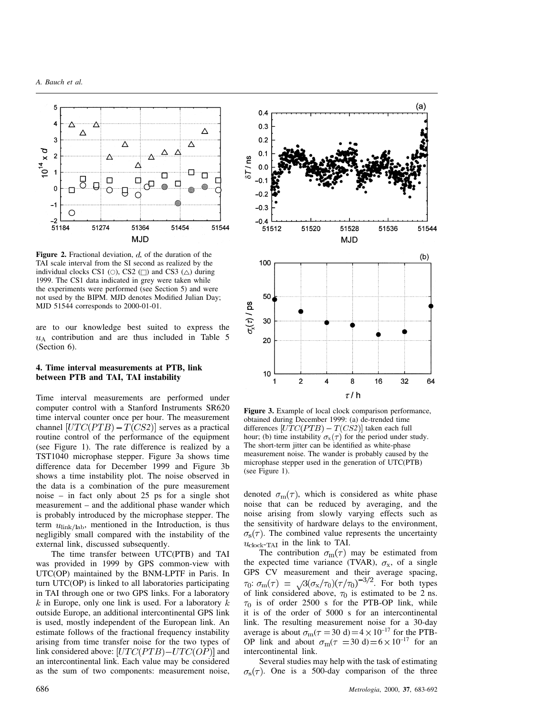

**Figure 2.** Fractional deviation,  $d$ , of the duration of the TAI scale interval from the SI second as realized by the individual clocks CS1 ( $\circ$ ), CS2 ( $\Box$ ) and CS3 ( $\triangle$ ) during 1999. The CS1 data indicated in grey were taken while the experiments were performed (see Section 5) and were not used by the BIPM. MJD denotes Modified Julian Day; MJD 51544 corresponds to 2000-01-01.

are to our knowledge best suited to express the  $u<sub>A</sub>$  contribution and are thus included in Table 5 (Section 6).

## **4. Time interval measurements at PTB, link between PTB and TAI, TAI instability**

Time interval measurements are performed under computer control with a Stanford Instruments SR620 time interval counter once per hour. The measurement channel  $[UTC(PTB) - T(CS2)]$  serves as a practical routine control of the performance of the equipment (see Figure 1). The rate difference is realized by a TST1040 microphase stepper. Figure 3a shows time difference data for December 1999 and Figure 3b shows a time instability plot. The noise observed in the data is a combination of the pure measurement noise – in fact only about 25 ps for a single shot measurement – and the additional phase wander which is probably introduced by the microphase stepper. The term  $u_{\text{link/lab}}$ , mentioned in the Introduction, is thus negligibly small compared with the instability of the external link, discussed subsequently.

The time transfer between UTC(PTB) and TAI was provided in 1999 by GPS common-view with UTC(OP) maintained by the BNM-LPTF in Paris. In turn UTC(OP) is linked to all laboratories participating in TAI through one or two GPS links. For a laboratory  $k$  in Europe, only one link is used. For a laboratory  $k$ outside Europe, an additional intercontinental GPS link is used, mostly independent of the European link. An estimate follows of the fractional frequency instability arising from time transfer noise for the two types of link considered above:  $[UTC(PTB)-UTC(OP)]$  and an intercontinental link. Each value may be considered as the sum of two components: measurement noise,



**Figure 3.** Example of local clock comparison performance, obtained during December 1999: (a) de-trended time differences  $[UTC(PTB) - T(CS2)]$  taken each full hour; (b) time instability  $\sigma_x(\tau)$  for the period under study. The short-term jitter can be identified as white-phase measurement noise. The wander is probably caused by the microphase stepper used in the generation of UTC(PTB) (see Figure 1).

denoted  $\sigma_{\rm m}(\tau)$ , which is considered as white phase noise that can be reduced by averaging, and the noise arising from slowly varying effects such as the sensitivity of hardware delays to the environment,  $\sigma_{s}(\tau)$ . The combined value represents the uncertainty  $u_{\text{clock-TAI}}$  in the link to TAI.

The contribution  $\sigma_{\rm m}(\tau)$  may be estimated from the expected time variance (TVAR),  $\sigma_x$ , of a single GPS CV measurement and their average spacing, :  $\sigma_{\rm m}(\tau) = \sqrt{3(\sigma_{\rm x}/\tau_0)(\tau/\tau_0)^{-3/2}}$ . For both types of link considered above,  $\tau_0$  is estimated to be 2 ns.  $\tau_0$  is of order 2500 s for the PTB-OP link, while it is of the order of 5000 s for an intercontinental link. The resulting measurement noise for a 30-day average is about  $\sigma_{\rm m}(\tau = 30 \text{ d}) = 4 \times 10^{-17}$  for the PTB-OP link and about  $\sigma_{\rm m}(\tau = 30 \text{ d}) = 6 \times 10^{-17}$  for an intercontinental link.

Several studies may help with the task of estimating  $\sigma_s(\tau)$ . One is a 500-day comparison of the three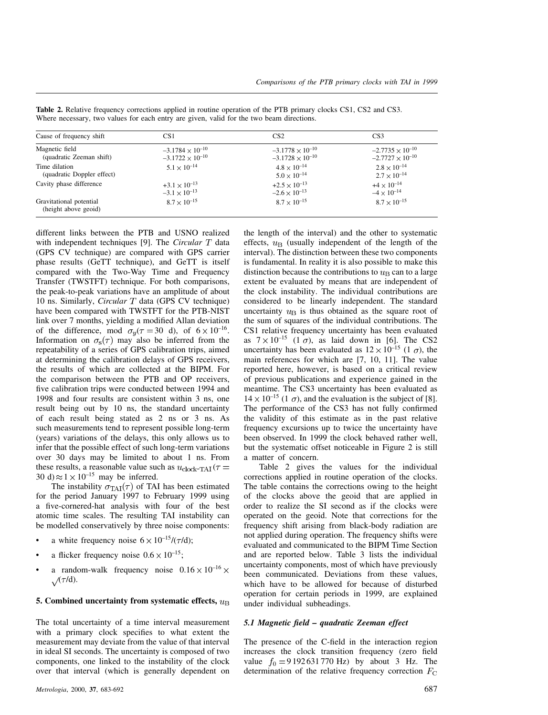| Cause of frequency shift                        | CS1                       | CS <sub>2</sub>           | CS <sub>3</sub>           |
|-------------------------------------------------|---------------------------|---------------------------|---------------------------|
| Magnetic field                                  | $-3.1784 \times 10^{-10}$ | $-3.1778 \times 10^{-10}$ | $-2.7735 \times 10^{-10}$ |
| (quadratic Zeeman shift)                        | $-3.1722 \times 10^{-10}$ | $-3.1728 \times 10^{-10}$ | $-2.7727 \times 10^{-10}$ |
| Time dilation                                   | $5.1 \times 10^{-14}$     | $4.8 \times 10^{-14}$     | $2.8 \times 10^{-14}$     |
| (quadratic Doppler effect)                      |                           | $5.0 \times 10^{-14}$     | $2.7 \times 10^{-14}$     |
| Cavity phase difference                         | $+3.1 \times 10^{-13}$    | $+2.5 \times 10^{-13}$    | $+4 \times 10^{-14}$      |
|                                                 | $-3.1 \times 10^{-13}$    | $-2.6 \times 10^{-13}$    | $-4 \times 10^{-14}$      |
| Gravitational potential<br>(height above geoid) | $8.7 \times 10^{-15}$     | $8.7 \times 10^{-15}$     | $8.7 \times 10^{-15}$     |

**Table 2.** Relative frequency corrections applied in routine operation of the PTB primary clocks CS1, CS2 and CS3. Where necessary, two values for each entry are given, valid for the two beam directions.

different links between the PTB and USNO realized with independent techniques [9]. The *Circular* T data (GPS CV technique) are compared with GPS carrier phase results (GeTT technique), and GeTT is itself compared with the Two-Way Time and Frequency Transfer (TWSTFT) technique. For both comparisons, the peak-to-peak variations have an amplitude of about 10 ns. Similarly, *Circular* T data (GPS CV technique) have been compared with TWSTFT for the PTB-NIST link over 7 months, yielding a modified Allan deviation of the difference, mod  $\sigma_y(\tau = 30 \text{ d})$ , of  $6 \times 10^{-16}$ . Information on  $\sigma_s(\tau)$  may also be inferred from the repeatability of a series of GPS calibration trips, aimed at determining the calibration delays of GPS receivers, the results of which are collected at the BIPM. For the comparison between the PTB and OP receivers, five calibration trips were conducted between 1994 and 1998 and four results are consistent within 3 ns, one result being out by 10 ns, the standard uncertainty of each result being stated as 2 ns or 3 ns. As such measurements tend to represent possible long-term (years) variations of the delays, this only allows us to infer that the possible effect of such long-term variations over 30 days may be limited to about 1 ns. From these results, a reasonable value such as  $u_{\text{clock-TAI}}(\tau =$ 30 d)  $\approx$  1  $\times$  10<sup>-15</sup> may be inferred.

The instability  $\sigma_{\text{TAI}}(\tau)$  of TAI has been estimated for the period January 1997 to February 1999 using a five-cornered-hat analysis with four of the best atomic time scales. The resulting TAI instability can be modelled conservatively by three noise components:

- a white frequency noise  $6 \times 10^{-15} / (\tau/d)$ ;
- a flicker frequency noise  $0.6 \times 10^{-15}$ ;
- a random-walk frequency noise  $0.16 \times 10^{-16} \times$  $\sqrt{\tau/d}$ .

## **5. Combined uncertainty from systematic effects,**

The total uncertainty of a time interval measurement with a primary clock specifies to what extent the measurement may deviate from the value of that interval in ideal SI seconds. The uncertainty is composed of two components, one linked to the instability of the clock over that interval (which is generally dependent on the length of the interval) and the other to systematic effects,  $u_{\rm B}$  (usually independent of the length of the interval). The distinction between these two components is fundamental. In reality it is also possible to make this distinction because the contributions to  $u<sub>B</sub>$  can to a large extent be evaluated by means that are independent of the clock instability. The individual contributions are considered to be linearly independent. The standard uncertainty  $u_{\rm B}$  is thus obtained as the square root of the sum of squares of the individual contributions. The CS1 relative frequency uncertainty has been evaluated as  $7 \times 10^{-15}$  (1  $\sigma$ ), as laid down in [6]. The CS2 uncertainty has been evaluated as  $12 \times 10^{-15}$  (1  $\sigma$ ), the main references for which are [7, 10, 11]. The value reported here, however, is based on a critical review of previous publications and experience gained in the meantime. The CS3 uncertainty has been evaluated as  $14 \times 10^{-15}$  (1  $\sigma$ ), and the evaluation is the subject of [8]. The performance of the CS3 has not fully confirmed the validity of this estimate as in the past relative frequency excursions up to twice the uncertainty have been observed. In 1999 the clock behaved rather well, but the systematic offset noticeable in Figure 2 is still a matter of concern.

Table 2 gives the values for the individual corrections applied in routine operation of the clocks. The table contains the corrections owing to the height of the clocks above the geoid that are applied in order to realize the SI second as if the clocks were operated on the geoid. Note that corrections for the frequency shift arising from black-body radiation are not applied during operation. The frequency shifts were evaluated and communicated to the BIPM Time Section and are reported below. Table 3 lists the individual uncertainty components, most of which have previously been communicated. Deviations from these values, which have to be allowed for because of disturbed operation for certain periods in 1999, are explained under individual subheadings.

# *5.1 Magnetic field – quadratic Zeeman effect*

The presence of the C-field in the interaction region increases the clock transition frequency (zero field value  $f_0 = 9192631770 \text{ Hz}$  by about 3 Hz. The determination of the relative frequency correction  $F<sub>C</sub>$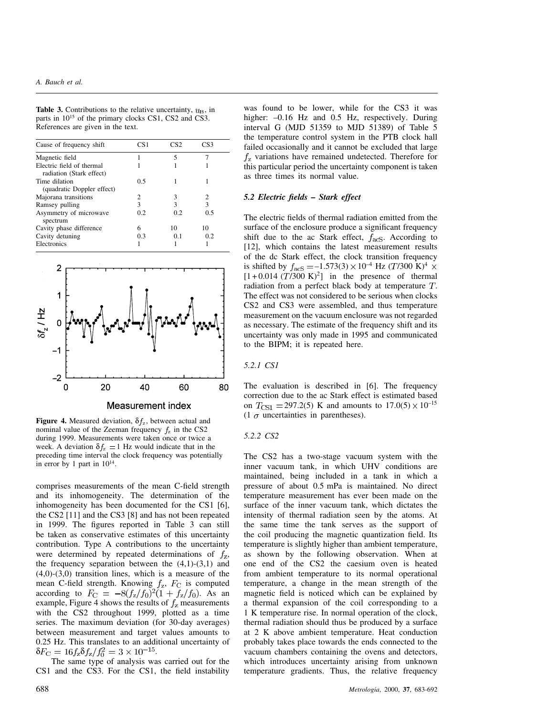## *A. Bauch et al.*

**Table 3.** Contributions to the relative uncertainty,  $u_{\rm B}$ , in parts in  $10^{15}$  of the primary clocks CS1, CS2 and CS3. References are given in the text.

| Cause of frequency shift                              | CS <sub>1</sub> | CS2 | CS3 |  |
|-------------------------------------------------------|-----------------|-----|-----|--|
| Magnetic field                                        |                 | 5   |     |  |
| Electric field of thermal<br>radiation (Stark effect) |                 |     |     |  |
| Time dilation<br>(quadratic Doppler effect)           | 0.5             |     |     |  |
| Majorana transitions                                  | 2               | 3   | 2   |  |
| Ramsey pulling                                        | 3               | 3   | 3   |  |
| Asymmetry of microwave<br>spectrum                    | 0.2             | 0.2 | 0.5 |  |
| Cavity phase difference                               | 6               | 10  | 10  |  |
| Cavity detuning                                       | 0.3             | 0.1 | 0.2 |  |
| Electronics                                           |                 |     |     |  |



**Figure 4.** Measured deviation,  $\delta f_z$ , between actual and nominal value of the Zeeman frequency  $f_z$  in the CS2 during 1999. Measurements were taken once or twice a week. A deviation  $\delta f_z = 1$  Hz would indicate that in the preceding time interval the clock frequency was potentially in error by 1 part in  $10^{14}$ .

comprises measurements of the mean C-field strength and its inhomogeneity. The determination of the inhomogeneity has been documented for the CS1 [6], the CS2 [11] and the CS3 [8] and has not been repeated in 1999. The figures reported in Table 3 can still be taken as conservative estimates of this uncertainty contribution. Type A contributions to the uncertainty were determined by repeated determinations of  $f_z$ , the frequency separation between the  $(4,1)-(3,1)$  and  $(4,0)$ - $(3,0)$  transition lines, which is a measure of the mean C-field strength. Knowing  $f_z$ ,  $F_{\rm C}$  is computed according to  $F_C = -8(f_z/f_0)^2(1 + f_z/f_0)$ . As an example, Figure 4 shows the results of  $f<sub>z</sub>$  measurements with the CS2 throughout 1999, plotted as a time series. The maximum deviation (for 30-day averages) between measurement and target values amounts to 0.25 Hz. This translates to an additional uncertainty of  $\delta F_{\rm C} = 16 f_{\rm z} \delta f_{\rm z} / f_0^2 = 3 \times 10^{-15}$ .

The same type of analysis was carried out for the CS1 and the CS3. For the CS1, the field instability

was found to be lower, while for the CS3 it was higher:  $-0.16$  Hz and 0.5 Hz, respectively. During interval G (MJD 51359 to MJD 51389) of Table 5 the temperature control system in the PTB clock hall failed occasionally and it cannot be excluded that large  $f<sub>z</sub>$  variations have remained undetected. Therefore for this particular period the uncertainty component is taken as three times its normal value.

#### *5.2 Electric fields – Stark effect*

The electric fields of thermal radiation emitted from the surface of the enclosure produce a significant frequency shift due to the ac Stark effect,  $f_{\text{acS}}$ . According to [12], which contains the latest measurement results of the dc Stark effect, the clock transition frequency is shifted by  $f_{\text{acS}} = -1.573(3) \times 10^{-4} \text{ Hz } (T/300 \text{ K})^4 \times$  $[1+0.014 (T/300 \text{ K})^2]$  in the presence of thermal radiation from a perfect black body at temperature  $T$ . The effect was not considered to be serious when clocks CS2 and CS3 were assembled, and thus temperature measurement on the vacuum enclosure was not regarded as necessary. The estimate of the frequency shift and its uncertainty was only made in 1995 and communicated to the BIPM; it is repeated here.

## *5.2.1 CS1*

The evaluation is described in [6]. The frequency correction due to the ac Stark effect is estimated based on  $T_{\text{CS1}} = 297.2(5)$  K and amounts to  $17.0(5) \times 10^{-15}$ (1  $\sigma$  uncertainties in parentheses).

#### *5.2.2 CS2*

The CS2 has a two-stage vacuum system with the inner vacuum tank, in which UHV conditions are maintained, being included in a tank in which a pressure of about 0.5 mPa is maintained. No direct temperature measurement has ever been made on the surface of the inner vacuum tank, which dictates the intensity of thermal radiation seen by the atoms. At the same time the tank serves as the support of the coil producing the magnetic quantization field. Its temperature is slightly higher than ambient temperature, as shown by the following observation. When at one end of the CS2 the caesium oven is heated from ambient temperature to its normal operational temperature, a change in the mean strength of the magnetic field is noticed which can be explained by a thermal expansion of the coil corresponding to a 1 K temperature rise. In normal operation of the clock, thermal radiation should thus be produced by a surface at 2 K above ambient temperature. Heat conduction probably takes place towards the ends connected to the vacuum chambers containing the ovens and detectors, which introduces uncertainty arising from unknown temperature gradients. Thus, the relative frequency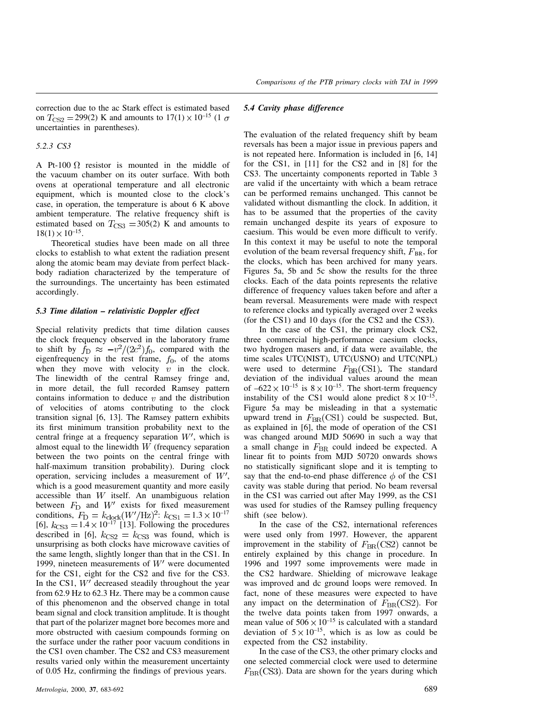correction due to the ac Stark effect is estimated based on  $T_{\text{CS2}} = 299(2)$  K and amounts to  $17(1) \times 10^{-15}$  (1  $\sigma$ uncertainties in parentheses).

*5.2.3 CS3*

A Pt-100  $\Omega$  resistor is mounted in the middle of the vacuum chamber on its outer surface. With both ovens at operational temperature and all electronic equipment, which is mounted close to the clock's case, in operation, the temperature is about 6 K above ambient temperature. The relative frequency shift is estimated based on  $T_{\text{CS}3} = 305(2)$  K and amounts to  $18(1) \times 10^{-15}$ .

Theoretical studies have been made on all three clocks to establish to what extent the radiation present along the atomic beam may deviate from perfect blackbody radiation characterized by the temperature of the surroundings. The uncertainty has been estimated accordingly.

#### *5.3 Time dilation – relativistic Doppler effect*

Special relativity predicts that time dilation causes the clock frequency observed in the laboratory frame to shift by  $f_D \approx -v^2/(2c^2)f_0$ , compared with the eigenfrequency in the rest frame,  $f_0$ , of the atoms when they move with velocity  $v$  in the clock. The linewidth of the central Ramsey fringe and, in more detail, the full recorded Ramsey pattern contains information to deduce  $v$  and the distribution of velocities of atoms contributing to the clock transition signal [6, 13]. The Ramsey pattern exhibits its first minimum transition probability next to the central fringe at a frequency separation  $W'$ , which is almost equal to the linewidth  $W$  (frequency separation between the two points on the central fringe with half-maximum transition probability). During clock operation, servicing includes a measurement of  $W'$ , which is a good measurement quantity and more easily accessible than  $W$  itself. An unambiguous relation between  $F<sub>D</sub>$  and  $W'$  exists for fixed measurement conditions,  $F_{\rm D} = k_{\rm clock} (W'/\rm Hz)^2$ :  $k_{\rm CS1} = 1.3 \times 10^{-17}$ [6],  $k_{\text{CS3}} = 1.4 \times 10^{-17}$  [13]. Following the procedures described in [6],  $k_{\text{CS2}} = k_{\text{CS3}}$  was found, which is unsurprising as both clocks have microwave cavities of the same length, slightly longer than that in the CS1. In 1999, nineteen measurements of  $W'$  were documented for the CS1, eight for the CS2 and five for the CS3. In the CS1,  $W'$  decreased steadily throughout the year from 62.9 Hz to 62.3 Hz. There may be a common cause of this phenomenon and the observed change in total beam signal and clock transition amplitude. It is thought that part of the polarizer magnet bore becomes more and more obstructed with caesium compounds forming on the surface under the rather poor vacuum conditions in the CS1 oven chamber. The CS2 and CS3 measurement results varied only within the measurement uncertainty of 0.05 Hz, confirming the findings of previous years.

## *5.4 Cavity phase difference*

The evaluation of the related frequency shift by beam reversals has been a major issue in previous papers and is not repeated here. Information is included in [6, 14] for the CS1, in [11] for the CS2 and in [8] for the CS3. The uncertainty components reported in Table 3 are valid if the uncertainty with which a beam retrace can be performed remains unchanged. This cannot be validated without dismantling the clock. In addition, it has to be assumed that the properties of the cavity remain unchanged despite its years of exposure to caesium. This would be even more difficult to verify. In this context it may be useful to note the temporal evolution of the beam reversal frequency shift,  $F_{BR}$ , for the clocks, which has been archived for many years. Figures 5a, 5b and 5c show the results for the three clocks. Each of the data points represents the relative difference of frequency values taken before and after a beam reversal. Measurements were made with respect to reference clocks and typically averaged over 2 weeks (for the CS1) and 10 days (for the CS2 and the CS3).

In the case of the CS1, the primary clock CS2, three commercial high-performance caesium clocks, two hydrogen masers and, if data were available, the time scales UTC(NIST), UTC(USNO) and UTC(NPL) were used to determine  $F_{BR}(CS1)$ . The standard deviation of the individual values around the mean of  $-622 \times 10^{-15}$  is  $8 \times 10^{-15}$ . The short-term frequency instability of the CS1 would alone predict  $8 \times 10^{-15}$ . Figure 5a may be misleading in that a systematic upward trend in  $F_{BR}(CSI)$  could be suspected. But, as explained in [6], the mode of operation of the CS1 was changed around MJD 50690 in such a way that a small change in  $F_{BR}$  could indeed be expected. A linear fit to points from MJD 50720 onwards shows no statistically significant slope and it is tempting to say that the end-to-end phase difference  $\phi$  of the CS1 cavity was stable during that period. No beam reversal in the CS1 was carried out after May 1999, as the CS1 was used for studies of the Ramsey pulling frequency shift (see below).

In the case of the CS2, international references were used only from 1997. However, the apparent improvement in the stability of  $F_{BR}(CS2)$  cannot be entirely explained by this change in procedure. In 1996 and 1997 some improvements were made in the CS2 hardware. Shielding of microwave leakage was improved and dc ground loops were removed. In fact, none of these measures were expected to have any impact on the determination of  $F_{\rm BR}({\rm CS2})$ . For the twelve data points taken from 1997 onwards, a mean value of  $506 \times 10^{-15}$  is calculated with a standard deviation of  $5 \times 10^{-15}$ , which is as low as could be expected from the CS2 instability.

In the case of the CS3, the other primary clocks and one selected commercial clock were used to determine  $F_{BR}(CS3)$ . Data are shown for the years during which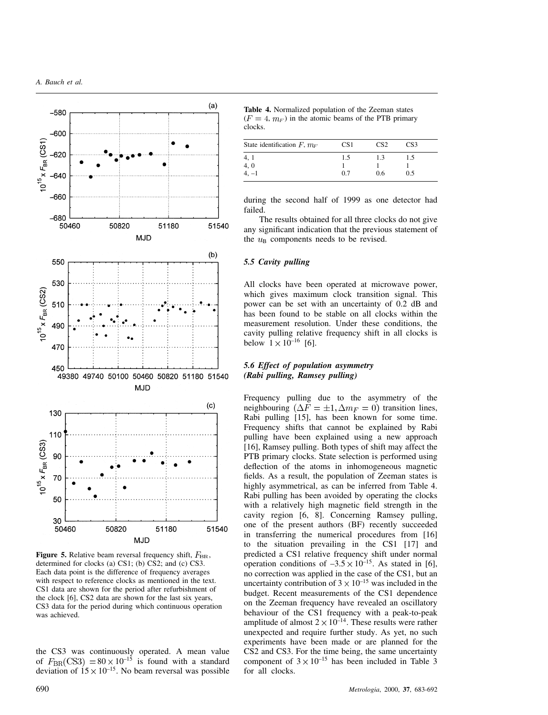

**Figure 5.** Relative beam reversal frequency shift,  $F_{BR}$ , determined for clocks (a) CS1; (b) CS2; and (c) CS3. Each data point is the difference of frequency averages with respect to reference clocks as mentioned in the text. CS1 data are shown for the period after refurbishment of the clock [6], CS2 data are shown for the last six years, CS3 data for the period during which continuous operation was achieved.

the CS3 was continuously operated. A mean value of  $F_{BR}(CS3) = 80 \times 10^{-15}$  is found with a standard deviation of  $15 \times 10^{-15}$ . No beam reversal was possible

**Table 4.** Normalized population of the Zeeman states  $(F = 4, m<sub>F</sub>)$  in the atomic beams of the PTB primary clocks.

| State identification $F, m_F$ | CS <sub>1</sub> | CS <sub>2</sub> | CS3 |
|-------------------------------|-----------------|-----------------|-----|
|                               | 1.5             | 1.3             | 1.5 |
|                               |                 |                 |     |
| 4, 1<br>4, 0<br>4, -1         | 0.7             | 0.6             | 0.5 |

during the second half of 1999 as one detector had failed.

The results obtained for all three clocks do not give any significant indication that the previous statement of the  $u_{\rm B}$  components needs to be revised.

#### *5.5 Cavity pulling*

All clocks have been operated at microwave power, which gives maximum clock transition signal. This power can be set with an uncertainty of 0.2 dB and has been found to be stable on all clocks within the measurement resolution. Under these conditions, the cavity pulling relative frequency shift in all clocks is below  $1 \times 10^{-16}$  [6].

# *5.6 Effect of population asymmetry (Rabi pulling, Ramsey pulling)*

Frequency pulling due to the asymmetry of the neighbouring  $(\Delta F = \pm 1, \Delta m_F = 0)$  transition lines, Rabi pulling [15], has been known for some time. Frequency shifts that cannot be explained by Rabi pulling have been explained using a new approach [16], Ramsey pulling. Both types of shift may affect the PTB primary clocks. State selection is performed using deflection of the atoms in inhomogeneous magnetic fields. As a result, the population of Zeeman states is highly asymmetrical, as can be inferred from Table 4. Rabi pulling has been avoided by operating the clocks with a relatively high magnetic field strength in the cavity region [6, 8]. Concerning Ramsey pulling, one of the present authors (BF) recently succeeded in transferring the numerical procedures from [16] to the situation prevailing in the CS1 [17] and predicted a CS1 relative frequency shift under normal operation conditions of  $-3.5 \times 10^{-15}$ . As stated in [6], no correction was applied in the case of the CS1, but an uncertainty contribution of  $3 \times 10^{-15}$  was included in the budget. Recent measurements of the CS1 dependence on the Zeeman frequency have revealed an oscillatory behaviour of the CS1 frequency with a peak-to-peak amplitude of almost  $2 \times 10^{-14}$ . These results were rather unexpected and require further study. As yet, no such experiments have been made or are planned for the CS2 and CS3. For the time being, the same uncertainty component of  $3 \times 10^{-15}$  has been included in Table 3 for all clocks.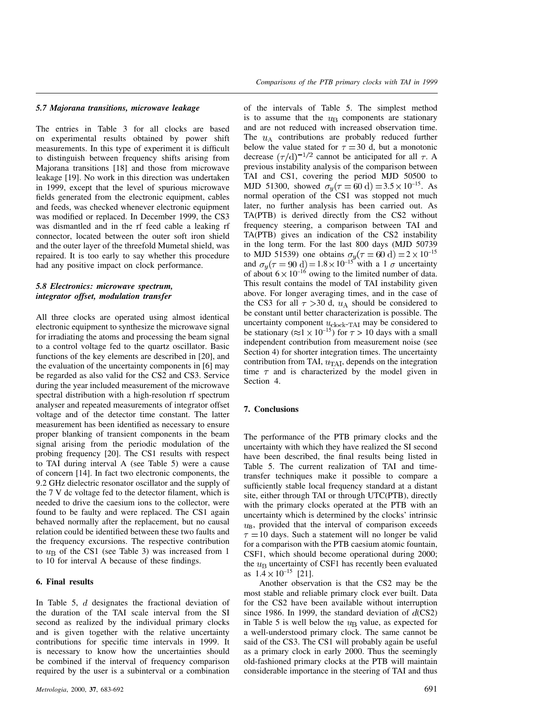#### *5.7 Majorana transitions, microwave leakage*

The entries in Table 3 for all clocks are based on experimental results obtained by power shift measurements. In this type of experiment it is difficult to distinguish between frequency shifts arising from Majorana transitions [18] and those from microwave leakage [19]. No work in this direction was undertaken in 1999, except that the level of spurious microwave fields generated from the electronic equipment, cables and feeds, was checked whenever electronic equipment was modified or replaced. In December 1999, the CS3 was dismantled and in the rf feed cable a leaking rf connector, located between the outer soft iron shield and the outer layer of the threefold Mumetal shield, was repaired. It is too early to say whether this procedure had any positive impact on clock performance.

## *5.8 Electronics: microwave spectrum, integrator offset, modulation transfer*

All three clocks are operated using almost identical electronic equipment to synthesize the microwave signal for irradiating the atoms and processing the beam signal to a control voltage fed to the quartz oscillator. Basic functions of the key elements are described in [20], and the evaluation of the uncertainty components in [6] may be regarded as also valid for the CS2 and CS3. Service during the year included measurement of the microwave spectral distribution with a high-resolution rf spectrum analyser and repeated measurements of integrator offset voltage and of the detector time constant. The latter measurement has been identified as necessary to ensure proper blanking of transient components in the beam signal arising from the periodic modulation of the probing frequency [20]. The CS1 results with respect to TAI during interval A (see Table 5) were a cause of concern [14]. In fact two electronic components, the 9.2 GHz dielectric resonator oscillator and the supply of the 7 V dc voltage fed to the detector filament, which is needed to drive the caesium ions to the collector, were found to be faulty and were replaced. The CS1 again behaved normally after the replacement, but no causal relation could be identified between these two faults and the frequency excursions. The respective contribution to  $u_{\rm B}$  of the CS1 (see Table 3) was increased from 1 to 10 for interval A because of these findings.

## **6. Final results**

In Table 5,  $d$  designates the fractional deviation of the duration of the TAI scale interval from the SI second as realized by the individual primary clocks and is given together with the relative uncertainty contributions for specific time intervals in 1999. It is necessary to know how the uncertainties should be combined if the interval of frequency comparison required by the user is a subinterval or a combination of the intervals of Table 5. The simplest method is to assume that the  $u<sub>B</sub>$  components are stationary and are not reduced with increased observation time. The  $u_A$  contributions are probably reduced further below the value stated for  $\tau = 30$  d, but a monotonic decrease  $(\tau/d)^{-1/2}$  cannot be anticipated for all  $\tau$ . A previous instability analysis of the comparison between TAI and CS1, covering the period MJD 50500 to MJD 51300, showed  $\sigma_y(\tau = 60 \text{ d}) = 3.5 \times 10^{-15}$ . As normal operation of the CS1 was stopped not much later, no further analysis has been carried out. As TA(PTB) is derived directly from the CS2 without frequency steering, a comparison between TAI and TA(PTB) gives an indication of the CS2 instability in the long term. For the last 800 days (MJD 50739 to MJD 51539) one obtains  $\sigma_y(\tau = 60 \text{ d}) = 2 \times 10^{-15}$ and  $\sigma_y(\tau = 90 \text{ d}) = 1.8 \times 10^{-15}$  with a 1  $\sigma$  uncertainty of about  $6 \times 10^{-16}$  owing to the limited number of data. This result contains the model of TAI instability given above. For longer averaging times, and in the case of the CS3 for all  $\tau > 30$  d,  $u_A$  should be considered to be constant until better characterization is possible. The uncertainty component  $u_{\text{clock-TAI}}$  may be considered to be stationary ( $\approx 1 \times 10^{-15}$ ) for  $\tau > 10$  days with a small independent contribution from measurement noise (see Section 4) for shorter integration times. The uncertainty contribution from TAI,  $u_{\text{TAI}}$ , depends on the integration time  $\tau$  and is characterized by the model given in Section 4.

#### **7. Conclusions**

The performance of the PTB primary clocks and the uncertainty with which they have realized the SI second have been described, the final results being listed in Table 5. The current realization of TAI and timetransfer techniques make it possible to compare a sufficiently stable local frequency standard at a distant site, either through TAI or through UTC(PTB), directly with the primary clocks operated at the PTB with an uncertainty which is determined by the clocks' intrinsic  $u_{\rm B}$ , provided that the interval of comparison exceeds  $\tau = 10$  days. Such a statement will no longer be valid for a comparison with the PTB caesium atomic fountain, CSF1, which should become operational during 2000; the  $u<sub>B</sub>$  uncertainty of CSF1 has recently been evaluated as  $1.4 \times 10^{-15}$  [21].

Another observation is that the CS2 may be the most stable and reliable primary clock ever built. Data for the CS2 have been available without interruption since 1986. In 1999, the standard deviation of  $d$ (CS2) in Table 5 is well below the  $u<sub>B</sub>$  value, as expected for a well-understood primary clock. The same cannot be said of the CS3. The CS1 will probably again be useful as a primary clock in early 2000. Thus the seemingly old-fashioned primary clocks at the PTB will maintain considerable importance in the steering of TAI and thus